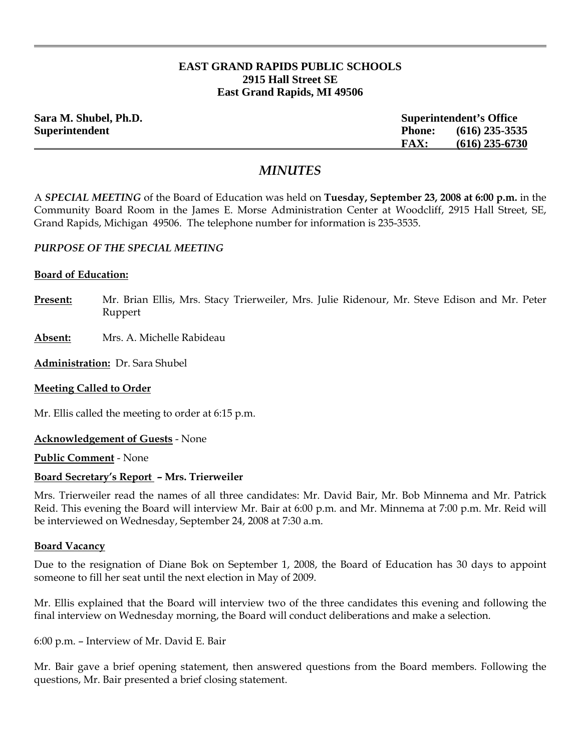# **EAST GRAND RAPIDS PUBLIC SCHOOLS 2915 Hall Street SE East Grand Rapids, MI 49506**

| Sara M. Shubel, Ph.D. |               | <b>Superintendent's Office</b> |  |
|-----------------------|---------------|--------------------------------|--|
| Superintendent        | <b>Phone:</b> | $(616)$ 235-3535               |  |
|                       | <b>FAX:</b>   | $(616)$ 235-6730               |  |

# *MINUTES*

A *SPECIAL MEETING* of the Board of Education was held on **Tuesday, September 23, 2008 at 6:00 p.m.** in the Community Board Room in the James E. Morse Administration Center at Woodcliff, 2915 Hall Street, SE, Grand Rapids, Michigan 49506. The telephone number for information is 235-3535.

### *PURPOSE OF THE SPECIAL MEETING*

#### **Board of Education:**

- **Present:** Mr. Brian Ellis, Mrs. Stacy Trierweiler, Mrs. Julie Ridenour, Mr. Steve Edison and Mr. Peter Ruppert
- **Absent:** Mrs. A. Michelle Rabideau

**Administration:** Dr. Sara Shubel

### **Meeting Called to Order**

Mr. Ellis called the meeting to order at 6:15 p.m.

**Acknowledgement of Guests** - None

**Public Comment** - None

### **Board Secretary's Report – Mrs. Trierweiler**

Mrs. Trierweiler read the names of all three candidates: Mr. David Bair, Mr. Bob Minnema and Mr. Patrick Reid. This evening the Board will interview Mr. Bair at 6:00 p.m. and Mr. Minnema at 7:00 p.m. Mr. Reid will be interviewed on Wednesday, September 24, 2008 at 7:30 a.m.

#### **Board Vacancy**

Due to the resignation of Diane Bok on September 1, 2008, the Board of Education has 30 days to appoint someone to fill her seat until the next election in May of 2009.

Mr. Ellis explained that the Board will interview two of the three candidates this evening and following the final interview on Wednesday morning, the Board will conduct deliberations and make a selection.

6:00 p.m. – Interview of Mr. David E. Bair

Mr. Bair gave a brief opening statement, then answered questions from the Board members. Following the questions, Mr. Bair presented a brief closing statement.